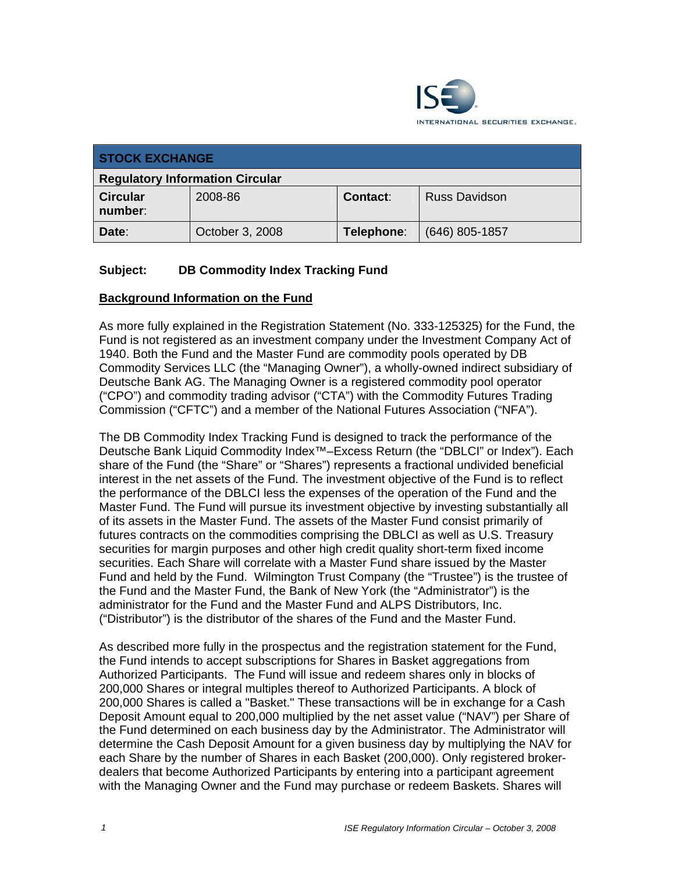

| <b>STOCK EXCHANGE</b>                  |                 |                 |                      |
|----------------------------------------|-----------------|-----------------|----------------------|
| <b>Regulatory Information Circular</b> |                 |                 |                      |
| <b>Circular</b><br>number:             | 2008-86         | <b>Contact:</b> | <b>Russ Davidson</b> |
| Date:                                  | October 3, 2008 | Telephone:      | $(646)$ 805-1857     |

## **Subject: DB Commodity Index Tracking Fund**

#### **Background Information on the Fund**

As more fully explained in the Registration Statement (No. 333-125325) for the Fund, the Fund is not registered as an investment company under the Investment Company Act of 1940. Both the Fund and the Master Fund are commodity pools operated by DB Commodity Services LLC (the "Managing Owner"), a wholly-owned indirect subsidiary of Deutsche Bank AG. The Managing Owner is a registered commodity pool operator ("CPO") and commodity trading advisor ("CTA") with the Commodity Futures Trading Commission ("CFTC") and a member of the National Futures Association ("NFA").

The DB Commodity Index Tracking Fund is designed to track the performance of the Deutsche Bank Liquid Commodity Index™–Excess Return (the "DBLCI" or Index"). Each share of the Fund (the "Share" or "Shares") represents a fractional undivided beneficial interest in the net assets of the Fund. The investment objective of the Fund is to reflect the performance of the DBLCI less the expenses of the operation of the Fund and the Master Fund. The Fund will pursue its investment objective by investing substantially all of its assets in the Master Fund. The assets of the Master Fund consist primarily of futures contracts on the commodities comprising the DBLCI as well as U.S. Treasury securities for margin purposes and other high credit quality short-term fixed income securities. Each Share will correlate with a Master Fund share issued by the Master Fund and held by the Fund. Wilmington Trust Company (the "Trustee") is the trustee of the Fund and the Master Fund, the Bank of New York (the "Administrator") is the administrator for the Fund and the Master Fund and ALPS Distributors, Inc. ("Distributor") is the distributor of the shares of the Fund and the Master Fund.

As described more fully in the prospectus and the registration statement for the Fund, the Fund intends to accept subscriptions for Shares in Basket aggregations from Authorized Participants. The Fund will issue and redeem shares only in blocks of 200,000 Shares or integral multiples thereof to Authorized Participants. A block of 200,000 Shares is called a "Basket." These transactions will be in exchange for a Cash Deposit Amount equal to 200,000 multiplied by the net asset value ("NAV") per Share of the Fund determined on each business day by the Administrator. The Administrator will determine the Cash Deposit Amount for a given business day by multiplying the NAV for each Share by the number of Shares in each Basket (200,000). Only registered brokerdealers that become Authorized Participants by entering into a participant agreement with the Managing Owner and the Fund may purchase or redeem Baskets. Shares will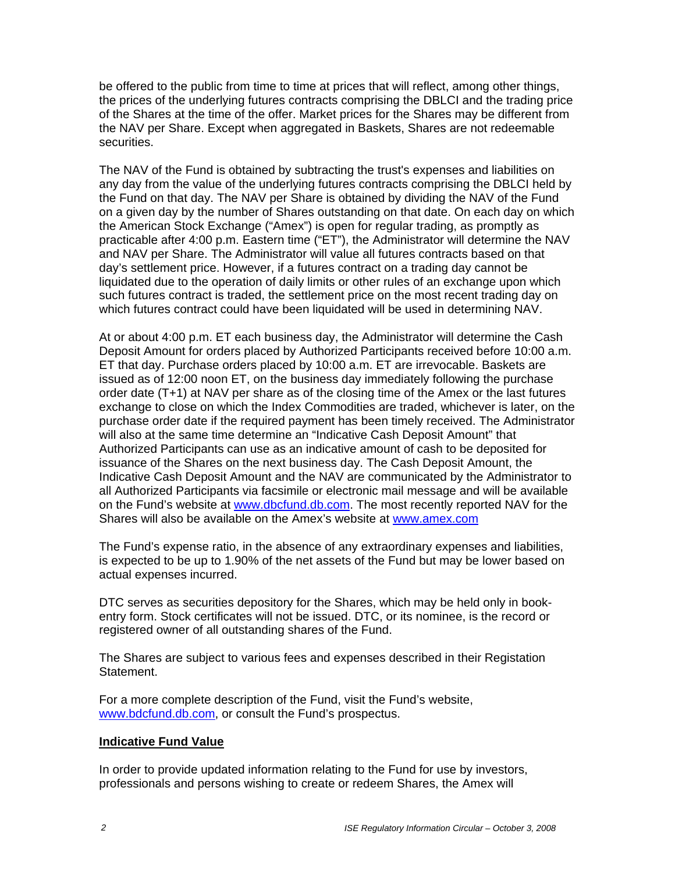be offered to the public from time to time at prices that will reflect, among other things, the prices of the underlying futures contracts comprising the DBLCI and the trading price of the Shares at the time of the offer. Market prices for the Shares may be different from the NAV per Share. Except when aggregated in Baskets, Shares are not redeemable securities.

The NAV of the Fund is obtained by subtracting the trust's expenses and liabilities on any day from the value of the underlying futures contracts comprising the DBLCI held by the Fund on that day. The NAV per Share is obtained by dividing the NAV of the Fund on a given day by the number of Shares outstanding on that date. On each day on which the American Stock Exchange ("Amex") is open for regular trading, as promptly as practicable after 4:00 p.m. Eastern time ("ET"), the Administrator will determine the NAV and NAV per Share. The Administrator will value all futures contracts based on that day's settlement price. However, if a futures contract on a trading day cannot be liquidated due to the operation of daily limits or other rules of an exchange upon which such futures contract is traded, the settlement price on the most recent trading day on which futures contract could have been liquidated will be used in determining NAV.

At or about 4:00 p.m. ET each business day, the Administrator will determine the Cash Deposit Amount for orders placed by Authorized Participants received before 10:00 a.m. ET that day. Purchase orders placed by 10:00 a.m. ET are irrevocable. Baskets are issued as of 12:00 noon ET, on the business day immediately following the purchase order date (T+1) at NAV per share as of the closing time of the Amex or the last futures exchange to close on which the Index Commodities are traded, whichever is later, on the purchase order date if the required payment has been timely received. The Administrator will also at the same time determine an "Indicative Cash Deposit Amount" that Authorized Participants can use as an indicative amount of cash to be deposited for issuance of the Shares on the next business day. The Cash Deposit Amount, the Indicative Cash Deposit Amount and the NAV are communicated by the Administrator to all Authorized Participants via facsimile or electronic mail message and will be available on the Fund's website at www.dbcfund.db.com. The most recently reported NAV for the Shares will also be available on the Amex's website at www.amex.com

The Fund's expense ratio, in the absence of any extraordinary expenses and liabilities, is expected to be up to 1.90% of the net assets of the Fund but may be lower based on actual expenses incurred.

DTC serves as securities depository for the Shares, which may be held only in bookentry form. Stock certificates will not be issued. DTC, or its nominee, is the record or registered owner of all outstanding shares of the Fund.

The Shares are subject to various fees and expenses described in their Registation Statement.

For a more complete description of the Fund, visit the Fund's website, www.bdcfund.db.com, or consult the Fund's prospectus.

#### **Indicative Fund Value**

In order to provide updated information relating to the Fund for use by investors, professionals and persons wishing to create or redeem Shares, the Amex will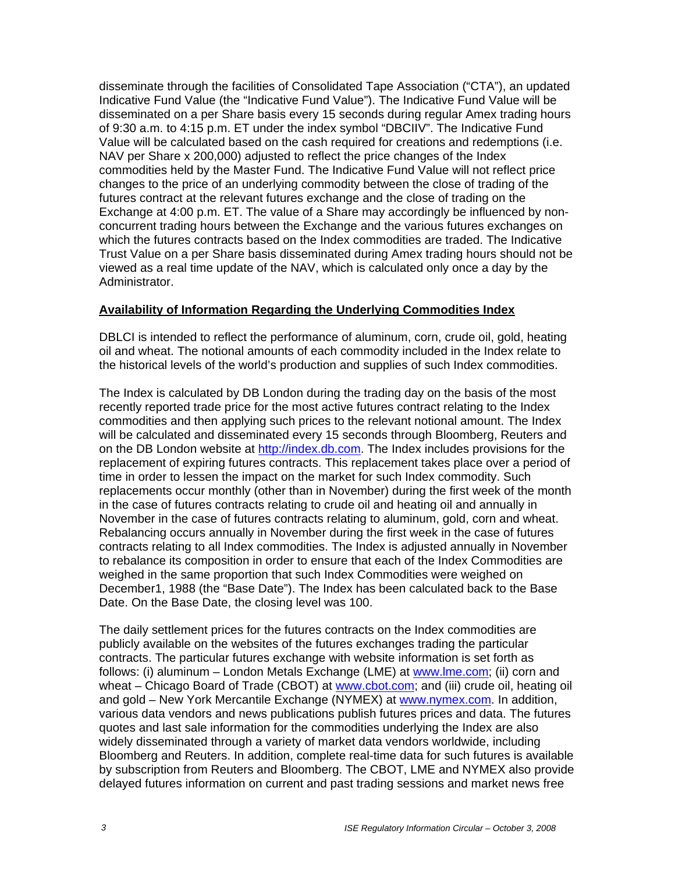disseminate through the facilities of Consolidated Tape Association ("CTA"), an updated Indicative Fund Value (the "Indicative Fund Value"). The Indicative Fund Value will be disseminated on a per Share basis every 15 seconds during regular Amex trading hours of 9:30 a.m. to 4:15 p.m. ET under the index symbol "DBCIIV". The Indicative Fund Value will be calculated based on the cash required for creations and redemptions (i.e. NAV per Share x 200,000) adjusted to reflect the price changes of the Index commodities held by the Master Fund. The Indicative Fund Value will not reflect price changes to the price of an underlying commodity between the close of trading of the futures contract at the relevant futures exchange and the close of trading on the Exchange at 4:00 p.m. ET. The value of a Share may accordingly be influenced by nonconcurrent trading hours between the Exchange and the various futures exchanges on which the futures contracts based on the Index commodities are traded. The Indicative Trust Value on a per Share basis disseminated during Amex trading hours should not be viewed as a real time update of the NAV, which is calculated only once a day by the Administrator.

#### **Availability of Information Regarding the Underlying Commodities Index**

DBLCI is intended to reflect the performance of aluminum, corn, crude oil, gold, heating oil and wheat. The notional amounts of each commodity included in the Index relate to the historical levels of the world's production and supplies of such Index commodities.

The Index is calculated by DB London during the trading day on the basis of the most recently reported trade price for the most active futures contract relating to the Index commodities and then applying such prices to the relevant notional amount. The Index will be calculated and disseminated every 15 seconds through Bloomberg, Reuters and on the DB London website at http://index.db.com. The Index includes provisions for the replacement of expiring futures contracts. This replacement takes place over a period of time in order to lessen the impact on the market for such Index commodity. Such replacements occur monthly (other than in November) during the first week of the month in the case of futures contracts relating to crude oil and heating oil and annually in November in the case of futures contracts relating to aluminum, gold, corn and wheat. Rebalancing occurs annually in November during the first week in the case of futures contracts relating to all Index commodities. The Index is adjusted annually in November to rebalance its composition in order to ensure that each of the Index Commodities are weighed in the same proportion that such Index Commodities were weighed on December1, 1988 (the "Base Date"). The Index has been calculated back to the Base Date. On the Base Date, the closing level was 100.

The daily settlement prices for the futures contracts on the Index commodities are publicly available on the websites of the futures exchanges trading the particular contracts. The particular futures exchange with website information is set forth as follows: (i) aluminum – London Metals Exchange (LME) at www.lme.com; (ii) corn and wheat – Chicago Board of Trade (CBOT) at www.cbot.com; and (iii) crude oil, heating oil and gold – New York Mercantile Exchange (NYMEX) at www.nymex.com. In addition, various data vendors and news publications publish futures prices and data. The futures quotes and last sale information for the commodities underlying the Index are also widely disseminated through a variety of market data vendors worldwide, including Bloomberg and Reuters. In addition, complete real-time data for such futures is available by subscription from Reuters and Bloomberg. The CBOT, LME and NYMEX also provide delayed futures information on current and past trading sessions and market news free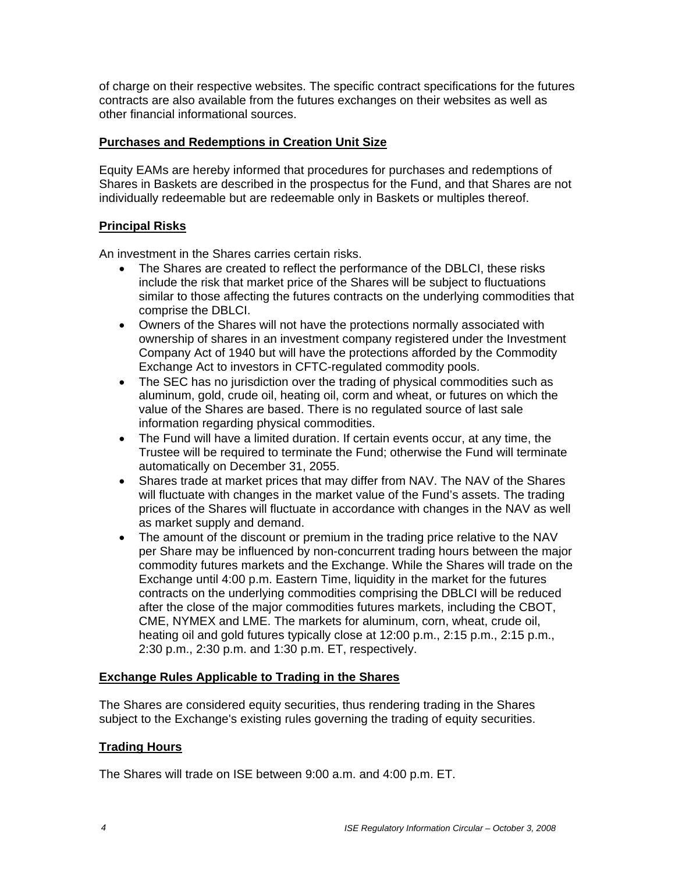of charge on their respective websites. The specific contract specifications for the futures contracts are also available from the futures exchanges on their websites as well as other financial informational sources.

# **Purchases and Redemptions in Creation Unit Size**

Equity EAMs are hereby informed that procedures for purchases and redemptions of Shares in Baskets are described in the prospectus for the Fund, and that Shares are not individually redeemable but are redeemable only in Baskets or multiples thereof.

## **Principal Risks**

An investment in the Shares carries certain risks.

- The Shares are created to reflect the performance of the DBLCI, these risks include the risk that market price of the Shares will be subject to fluctuations similar to those affecting the futures contracts on the underlying commodities that comprise the DBLCI.
- Owners of the Shares will not have the protections normally associated with ownership of shares in an investment company registered under the Investment Company Act of 1940 but will have the protections afforded by the Commodity Exchange Act to investors in CFTC-regulated commodity pools.
- The SEC has no jurisdiction over the trading of physical commodities such as aluminum, gold, crude oil, heating oil, corm and wheat, or futures on which the value of the Shares are based. There is no regulated source of last sale information regarding physical commodities.
- The Fund will have a limited duration. If certain events occur, at any time, the Trustee will be required to terminate the Fund; otherwise the Fund will terminate automatically on December 31, 2055.
- Shares trade at market prices that may differ from NAV. The NAV of the Shares will fluctuate with changes in the market value of the Fund's assets. The trading prices of the Shares will fluctuate in accordance with changes in the NAV as well as market supply and demand.
- The amount of the discount or premium in the trading price relative to the NAV per Share may be influenced by non-concurrent trading hours between the major commodity futures markets and the Exchange. While the Shares will trade on the Exchange until 4:00 p.m. Eastern Time, liquidity in the market for the futures contracts on the underlying commodities comprising the DBLCI will be reduced after the close of the major commodities futures markets, including the CBOT, CME, NYMEX and LME. The markets for aluminum, corn, wheat, crude oil, heating oil and gold futures typically close at 12:00 p.m., 2:15 p.m., 2:15 p.m., 2:30 p.m., 2:30 p.m. and 1:30 p.m. ET, respectively.

## **Exchange Rules Applicable to Trading in the Shares**

The Shares are considered equity securities, thus rendering trading in the Shares subject to the Exchange's existing rules governing the trading of equity securities.

## **Trading Hours**

The Shares will trade on ISE between 9:00 a.m. and 4:00 p.m. ET.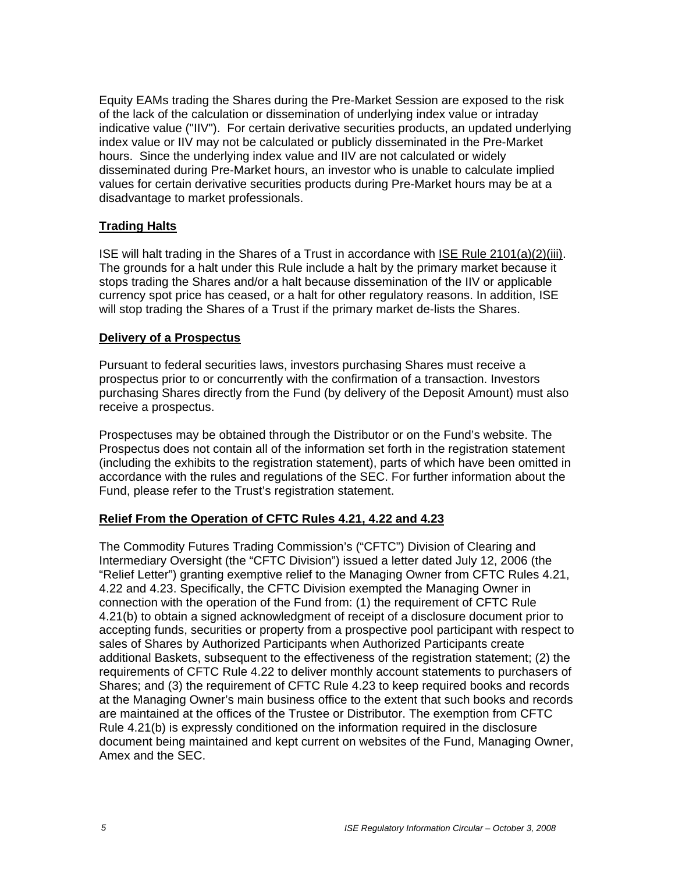Equity EAMs trading the Shares during the Pre-Market Session are exposed to the risk of the lack of the calculation or dissemination of underlying index value or intraday indicative value ("IIV"). For certain derivative securities products, an updated underlying index value or IIV may not be calculated or publicly disseminated in the Pre-Market hours. Since the underlying index value and IIV are not calculated or widely disseminated during Pre-Market hours, an investor who is unable to calculate implied values for certain derivative securities products during Pre-Market hours may be at a disadvantage to market professionals.

## **Trading Halts**

ISE will halt trading in the Shares of a Trust in accordance with ISE Rule 2101(a)(2)(iii). The grounds for a halt under this Rule include a halt by the primary market because it stops trading the Shares and/or a halt because dissemination of the IIV or applicable currency spot price has ceased, or a halt for other regulatory reasons. In addition, ISE will stop trading the Shares of a Trust if the primary market de-lists the Shares.

## **Delivery of a Prospectus**

Pursuant to federal securities laws, investors purchasing Shares must receive a prospectus prior to or concurrently with the confirmation of a transaction. Investors purchasing Shares directly from the Fund (by delivery of the Deposit Amount) must also receive a prospectus.

Prospectuses may be obtained through the Distributor or on the Fund's website. The Prospectus does not contain all of the information set forth in the registration statement (including the exhibits to the registration statement), parts of which have been omitted in accordance with the rules and regulations of the SEC. For further information about the Fund, please refer to the Trust's registration statement.

## **Relief From the Operation of CFTC Rules 4.21, 4.22 and 4.23**

The Commodity Futures Trading Commission's ("CFTC") Division of Clearing and Intermediary Oversight (the "CFTC Division") issued a letter dated July 12, 2006 (the "Relief Letter") granting exemptive relief to the Managing Owner from CFTC Rules 4.21, 4.22 and 4.23. Specifically, the CFTC Division exempted the Managing Owner in connection with the operation of the Fund from: (1) the requirement of CFTC Rule 4.21(b) to obtain a signed acknowledgment of receipt of a disclosure document prior to accepting funds, securities or property from a prospective pool participant with respect to sales of Shares by Authorized Participants when Authorized Participants create additional Baskets, subsequent to the effectiveness of the registration statement; (2) the requirements of CFTC Rule 4.22 to deliver monthly account statements to purchasers of Shares; and (3) the requirement of CFTC Rule 4.23 to keep required books and records at the Managing Owner's main business office to the extent that such books and records are maintained at the offices of the Trustee or Distributor. The exemption from CFTC Rule 4.21(b) is expressly conditioned on the information required in the disclosure document being maintained and kept current on websites of the Fund, Managing Owner, Amex and the SEC.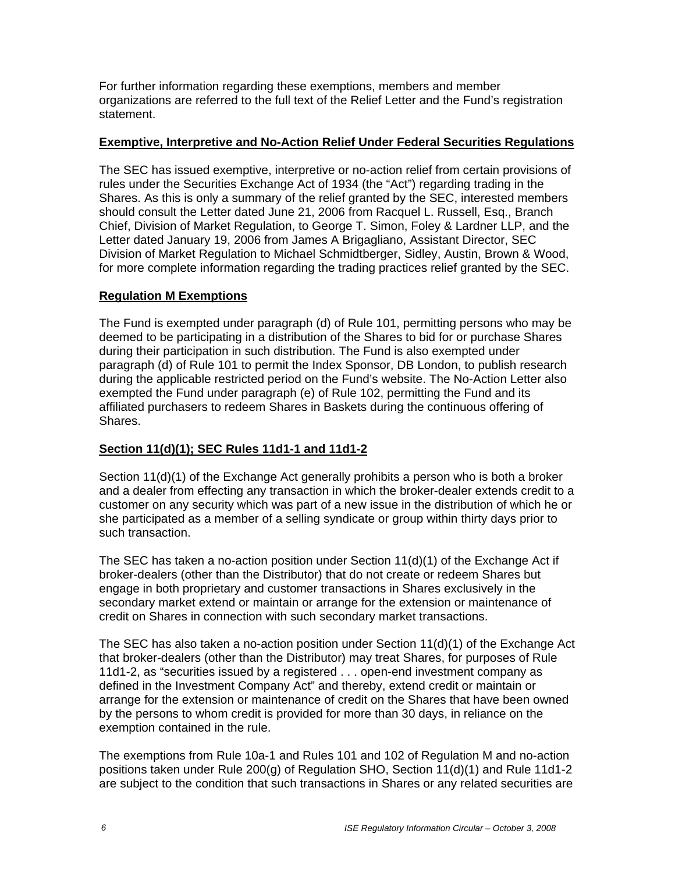For further information regarding these exemptions, members and member organizations are referred to the full text of the Relief Letter and the Fund's registration statement.

## **Exemptive, Interpretive and No-Action Relief Under Federal Securities Regulations**

The SEC has issued exemptive, interpretive or no-action relief from certain provisions of rules under the Securities Exchange Act of 1934 (the "Act") regarding trading in the Shares. As this is only a summary of the relief granted by the SEC, interested members should consult the Letter dated June 21, 2006 from Racquel L. Russell, Esq., Branch Chief, Division of Market Regulation, to George T. Simon, Foley & Lardner LLP, and the Letter dated January 19, 2006 from James A Brigagliano, Assistant Director, SEC Division of Market Regulation to Michael Schmidtberger, Sidley, Austin, Brown & Wood, for more complete information regarding the trading practices relief granted by the SEC.

## **Regulation M Exemptions**

The Fund is exempted under paragraph (d) of Rule 101, permitting persons who may be deemed to be participating in a distribution of the Shares to bid for or purchase Shares during their participation in such distribution. The Fund is also exempted under paragraph (d) of Rule 101 to permit the Index Sponsor, DB London, to publish research during the applicable restricted period on the Fund's website. The No-Action Letter also exempted the Fund under paragraph (e) of Rule 102, permitting the Fund and its affiliated purchasers to redeem Shares in Baskets during the continuous offering of Shares.

# **Section 11(d)(1); SEC Rules 11d1-1 and 11d1-2**

Section 11(d)(1) of the Exchange Act generally prohibits a person who is both a broker and a dealer from effecting any transaction in which the broker-dealer extends credit to a customer on any security which was part of a new issue in the distribution of which he or she participated as a member of a selling syndicate or group within thirty days prior to such transaction.

The SEC has taken a no-action position under Section  $11(d)(1)$  of the Exchange Act if broker-dealers (other than the Distributor) that do not create or redeem Shares but engage in both proprietary and customer transactions in Shares exclusively in the secondary market extend or maintain or arrange for the extension or maintenance of credit on Shares in connection with such secondary market transactions.

The SEC has also taken a no-action position under Section  $11(d)(1)$  of the Exchange Act that broker-dealers (other than the Distributor) may treat Shares, for purposes of Rule 11d1-2, as "securities issued by a registered . . . open-end investment company as defined in the Investment Company Act" and thereby, extend credit or maintain or arrange for the extension or maintenance of credit on the Shares that have been owned by the persons to whom credit is provided for more than 30 days, in reliance on the exemption contained in the rule.

The exemptions from Rule 10a-1 and Rules 101 and 102 of Regulation M and no-action positions taken under Rule 200(g) of Regulation SHO, Section 11(d)(1) and Rule 11d1-2 are subject to the condition that such transactions in Shares or any related securities are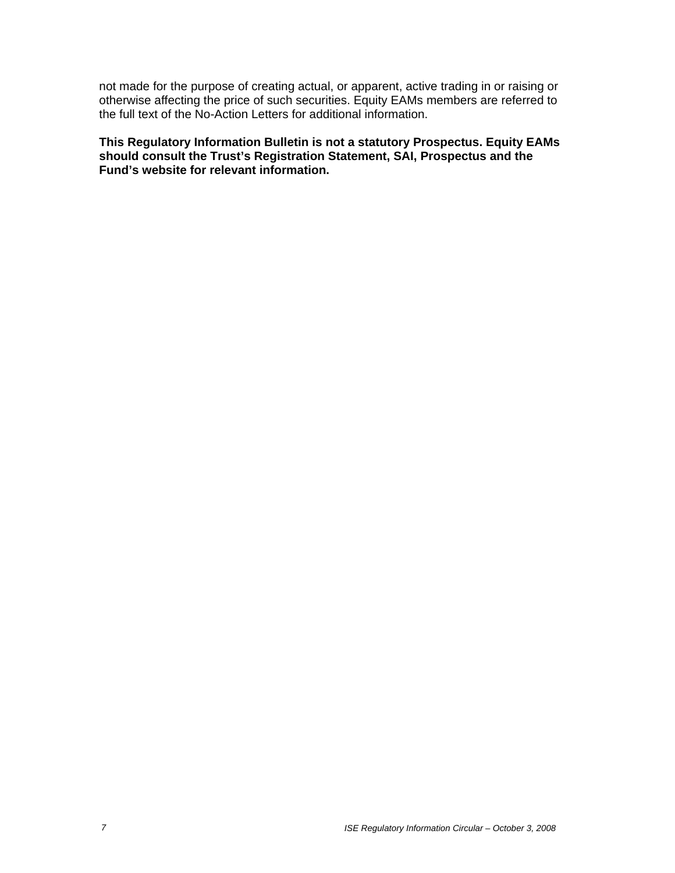not made for the purpose of creating actual, or apparent, active trading in or raising or otherwise affecting the price of such securities. Equity EAMs members are referred to the full text of the No-Action Letters for additional information.

**This Regulatory Information Bulletin is not a statutory Prospectus. Equity EAMs should consult the Trust's Registration Statement, SAI, Prospectus and the Fund's website for relevant information.**